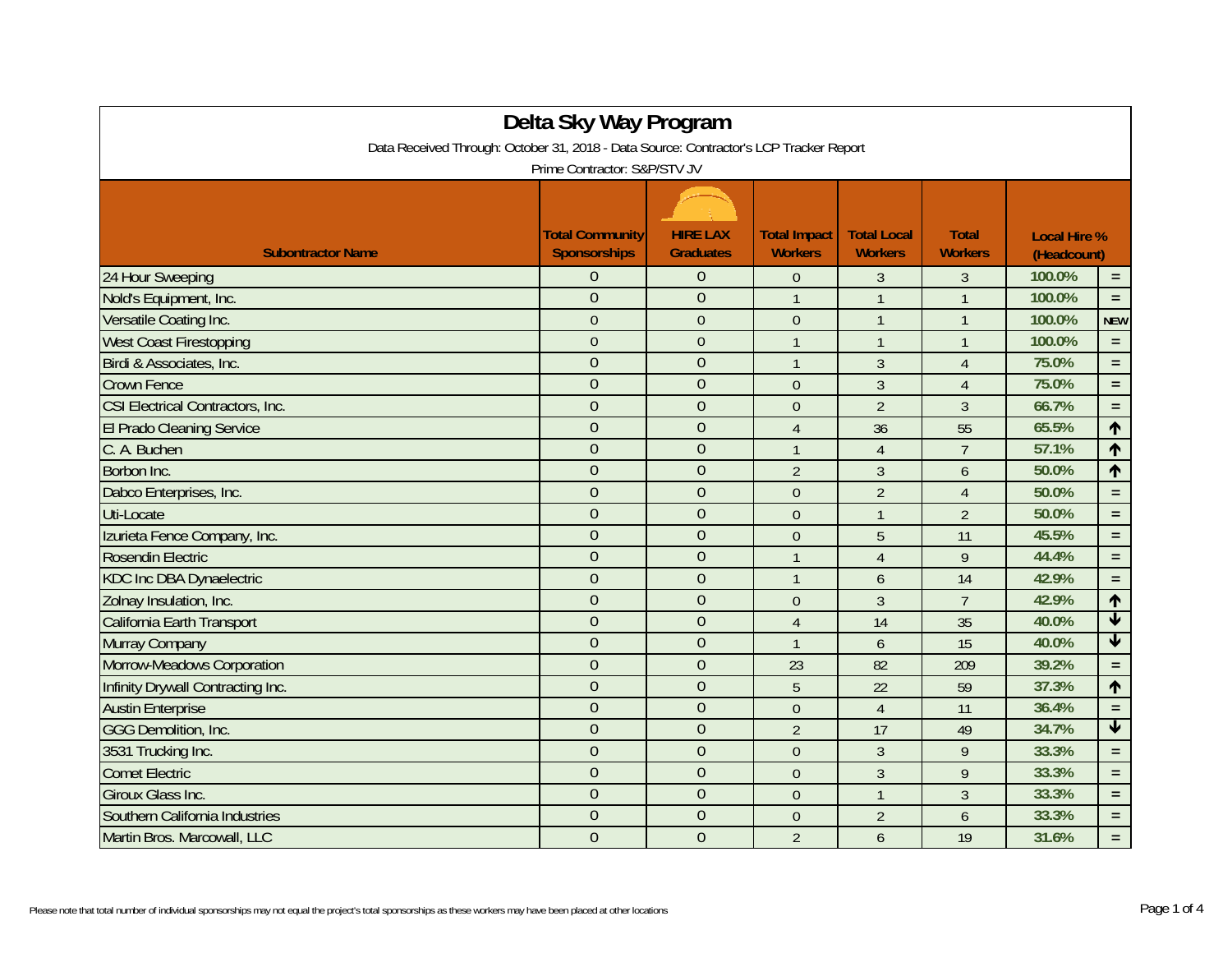|                                                                                        | Delta Sky Way Program  |                  |                     |                    |                |                     |                            |
|----------------------------------------------------------------------------------------|------------------------|------------------|---------------------|--------------------|----------------|---------------------|----------------------------|
| Data Received Through: October 31, 2018 - Data Source: Contractor's LCP Tracker Report |                        |                  |                     |                    |                |                     |                            |
| Prime Contractor: S&P/STV JV                                                           |                        |                  |                     |                    |                |                     |                            |
|                                                                                        |                        |                  |                     |                    |                |                     |                            |
|                                                                                        |                        |                  |                     |                    |                |                     |                            |
|                                                                                        | <b>Total Community</b> | <b>HIRE LAX</b>  | <b>Total Impact</b> | <b>Total Local</b> | <b>Total</b>   | <b>Local Hire %</b> |                            |
| <b>Subontractor Name</b>                                                               | Sponsorships           | <b>Graduates</b> | <b>Workers</b>      | <b>Workers</b>     | <b>Workers</b> | (Headcount)         |                            |
| 24 Hour Sweeping                                                                       | $\Omega$               | $\theta$         | $\theta$            | $\overline{3}$     | 3              | 100.0%              | $\equiv$                   |
| Nold's Equipment, Inc.                                                                 | $\overline{0}$         | $\mathbf{0}$     | $\mathbf{1}$        | $\mathbf{1}$       | $\mathbf{1}$   | 100.0%              | $\equiv$                   |
| Versatile Coating Inc.                                                                 | $\overline{0}$         | $\overline{0}$   | $\theta$            | $\mathbf{1}$       | $\mathbf{1}$   | 100.0%              | <b>NEW</b>                 |
| <b>West Coast Firestopping</b>                                                         | $\overline{0}$         | $\theta$         | $\overline{1}$      | $\mathbf{1}$       | $\mathbf{1}$   | 100.0%              | $\equiv$                   |
| Birdi & Associates, Inc.                                                               | $\overline{0}$         | $\overline{0}$   | $\mathbf{1}$        | 3                  | $\overline{4}$ | 75.0%               | $\equiv$                   |
| <b>Crown Fence</b>                                                                     | $\overline{0}$         | $\overline{0}$   | $\mathbf{0}$        | $\overline{3}$     | $\overline{4}$ | 75.0%               | $\equiv$                   |
| <b>CSI Electrical Contractors, Inc.</b>                                                | $\overline{0}$         | $\overline{0}$   | $\mathbf{0}$        | $\overline{2}$     | $\overline{3}$ | 66.7%               | $\equiv$                   |
| <b>El Prado Cleaning Service</b>                                                       | $\overline{0}$         | $\mathbf{0}$     | $\overline{4}$      | 36                 | 55             | 65.5%               | $\uparrow$                 |
| C. A. Buchen                                                                           | $\overline{0}$         | $\overline{0}$   | $\overline{1}$      | $\overline{4}$     | $\overline{7}$ | 57.1%               | $\uparrow$                 |
| Borbon Inc.                                                                            | $\overline{0}$         | $\overline{0}$   | $\overline{2}$      | 3                  | 6              | 50.0%               | $\uparrow$                 |
| Dabco Enterprises, Inc.                                                                | $\overline{0}$         | $\overline{0}$   | $\theta$            | $\overline{2}$     | $\overline{4}$ | 50.0%               | $\equiv$                   |
| Uti-Locate                                                                             | $\mathbf{0}$           | $\overline{0}$   | $\theta$            | $\mathbf{1}$       | $\overline{2}$ | 50.0%               | $\equiv$                   |
| Izurieta Fence Company, Inc.                                                           | $\overline{0}$         | $\overline{0}$   | $\boldsymbol{0}$    | 5                  | 11             | 45.5%               | $\equiv$                   |
| Rosendin Electric                                                                      | $\overline{0}$         | $\overline{0}$   | $\overline{1}$      | $\overline{4}$     | 9              | 44.4%               | $\equiv$                   |
| <b>KDC Inc DBA Dynaelectric</b>                                                        | $\overline{0}$         | $\overline{0}$   | $\mathbf{1}$        | 6                  | 14             | 42.9%               | $\equiv$                   |
| Zolnay Insulation, Inc.                                                                | $\overline{0}$         | $\overline{0}$   | $\theta$            | $\overline{3}$     | $\overline{7}$ | 42.9%               | $\uparrow$                 |
| California Earth Transport                                                             | $\overline{0}$         | $\mathbf{0}$     | $\overline{4}$      | 14                 | 35             | 40.0%               | $\overline{\mathbf{v}}$    |
| <b>Murray Company</b>                                                                  | $\overline{0}$         | $\overline{0}$   | $\overline{1}$      | 6                  | 15             | 40.0%               | $\blacklozenge$            |
| Morrow-Meadows Corporation                                                             | $\overline{0}$         | $\overline{0}$   | 23                  | 82                 | 209            | 39.2%               | $\equiv$                   |
| Infinity Drywall Contracting Inc.                                                      | $\overline{0}$         | $\mathbf{0}$     | 5                   | 22                 | 59             | 37.3%               | $\uparrow$                 |
| <b>Austin Enterprise</b>                                                               | $\overline{0}$         | $\overline{0}$   | $\theta$            | $\overline{4}$     | 11             | 36.4%               | $\equiv$                   |
| <b>GGG Demolition, Inc.</b>                                                            | $\overline{0}$         | $\overline{0}$   | $\overline{2}$      | 17                 | 49             | 34.7%               | $\overline{\blacklozenge}$ |
| 3531 Trucking Inc.                                                                     | $\overline{0}$         | $\overline{0}$   | $\theta$            | 3                  | 9              | 33.3%               | $\equiv$                   |
| <b>Comet Electric</b>                                                                  | $\overline{0}$         | $\overline{0}$   | $\overline{0}$      | $\overline{3}$     | 9              | 33.3%               | $\equiv$                   |
| <b>Giroux Glass Inc.</b>                                                               | $\overline{0}$         | $\mathbf{0}$     | $\theta$            | $\mathbf{1}$       | 3              | 33.3%               | $\equiv$                   |
| Southern California Industries                                                         | $\overline{0}$         | $\overline{0}$   | $\boldsymbol{0}$    | $\overline{2}$     | 6              | 33.3%               | $\equiv$                   |
| Martin Bros. Marcowall, LLC                                                            | $\overline{0}$         | $\overline{0}$   | $\overline{2}$      | 6                  | 19             | 31.6%               | $=$ $\,$                   |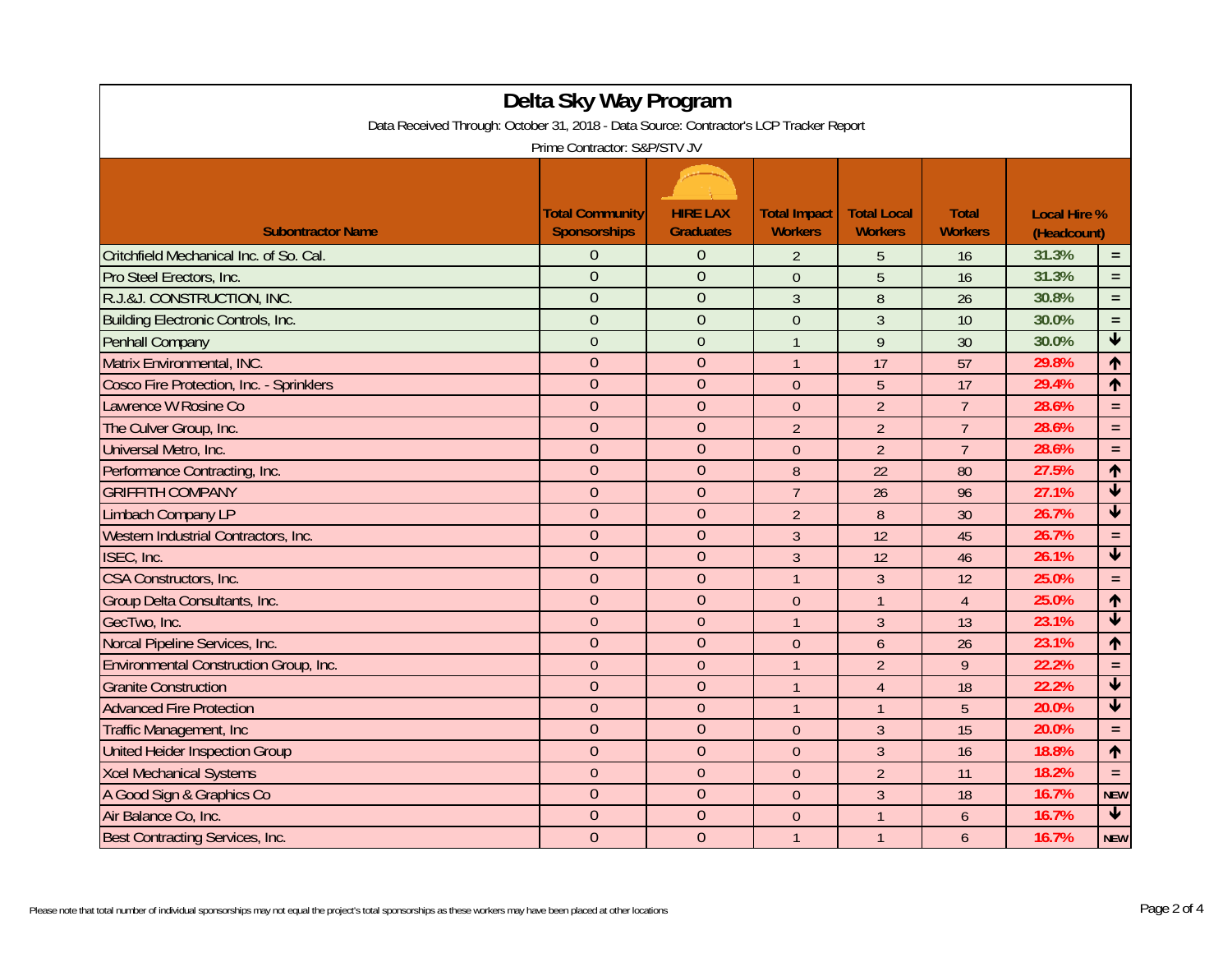| Delta Sky Way Program                                                                  |                                               |                                     |                                       |                                      |                                |                                    |                         |  |
|----------------------------------------------------------------------------------------|-----------------------------------------------|-------------------------------------|---------------------------------------|--------------------------------------|--------------------------------|------------------------------------|-------------------------|--|
| Data Received Through: October 31, 2018 - Data Source: Contractor's LCP Tracker Report |                                               |                                     |                                       |                                      |                                |                                    |                         |  |
| Prime Contractor: S&P/STV JV                                                           |                                               |                                     |                                       |                                      |                                |                                    |                         |  |
|                                                                                        |                                               |                                     |                                       |                                      |                                |                                    |                         |  |
| <b>Subontractor Name</b>                                                               | <b>Total Community</b><br><b>Sponsorships</b> | <b>HIRE LAX</b><br><b>Graduates</b> | <b>Total Impact</b><br><b>Workers</b> | <b>Total Local</b><br><b>Workers</b> | <b>Total</b><br><b>Workers</b> | <b>Local Hire %</b><br>(Headcount) |                         |  |
| Critchfield Mechanical Inc. of So. Cal.                                                | $\Omega$                                      | $\overline{0}$                      | $\overline{2}$                        | 5                                    | 16                             | 31.3%                              | $=$ $\,$                |  |
| Pro Steel Erectors, Inc.                                                               | $\theta$                                      | $\overline{0}$                      | $\overline{0}$                        | 5                                    | 16                             | 31.3%                              | $\equiv$                |  |
| R.J.&J. CONSTRUCTION, INC.                                                             | $\overline{0}$                                | $\overline{0}$                      | $\mathfrak{Z}$                        | 8                                    | 26                             | 30.8%                              | $\equiv$                |  |
| <b>Building Electronic Controls, Inc.</b>                                              | $\overline{0}$                                | $\overline{0}$                      | $\overline{0}$                        | $\mathfrak{Z}$                       | 10                             | 30.0%                              | $\equiv$                |  |
| Penhall Company                                                                        | $\mathbf{0}$                                  | $\mathbf{0}$                        | $\mathbf{1}$                          | $\boldsymbol{9}$                     | 30                             | 30.0%                              | $\overline{\textbf{t}}$ |  |
| Matrix Environmental, INC.                                                             | $\overline{0}$                                | $\overline{0}$                      | $\mathbf{1}$                          | 17                                   | 57                             | 29.8%                              | $\uparrow$              |  |
| Cosco Fire Protection, Inc. - Sprinklers                                               | $\overline{0}$                                | $\overline{0}$                      | $\overline{0}$                        | 5                                    | 17                             | 29.4%                              | $\uparrow$              |  |
| Lawrence W Rosine Co                                                                   | $\overline{0}$                                | $\overline{0}$                      | $\Omega$                              | $\overline{2}$                       | $\overline{7}$                 | 28.6%                              | $\equiv$                |  |
| The Culver Group, Inc.                                                                 | $\Omega$                                      | $\overline{0}$                      | $\overline{2}$                        | $\overline{2}$                       | $\overline{7}$                 | 28.6%                              | $\equiv$                |  |
| Universal Metro, Inc.                                                                  | $\overline{0}$                                | $\overline{0}$                      | $\mathbf{0}$                          | $\overline{2}$                       | $\overline{7}$                 | 28.6%                              | $\equiv$                |  |
| Performance Contracting, Inc.                                                          | $\theta$                                      | $\overline{0}$                      | $\boldsymbol{8}$                      | 22                                   | 80                             | 27.5%                              | $\uparrow$              |  |
| <b>GRIFFITH COMPANY</b>                                                                | $\overline{0}$                                | $\overline{0}$                      | $\overline{7}$                        | 26                                   | 96                             | 27.1%                              | $\overline{\textbf{v}}$ |  |
| <b>Limbach Company LP</b>                                                              | $\mathbf{0}$                                  | $\theta$                            | $\overline{2}$                        | $\, 8$                               | 30                             | 26.7%                              | $\overline{\textbf{r}}$ |  |
| Western Industrial Contractors, Inc.                                                   | $\overline{0}$                                | $\theta$                            | $\overline{3}$                        | 12                                   | 45                             | 26.7%                              | $\equiv$                |  |
| ISEC, Inc.                                                                             | $\overline{0}$                                | $\overline{0}$                      | $\overline{3}$                        | 12                                   | 46                             | 26.1%                              | $\overline{\textbf{v}}$ |  |
| CSA Constructors, Inc.                                                                 | $\Omega$                                      | $\overline{0}$                      | $\overline{1}$                        | $\mathfrak{Z}$                       | 12                             | 25.0%                              | $\equiv$                |  |
| Group Delta Consultants, Inc.                                                          | $\mathbf{0}$                                  | $\overline{0}$                      | $\mathbf{0}$                          | $\overline{1}$                       | $\overline{4}$                 | 25.0%                              | $\uparrow$              |  |
| GecTwo, Inc.                                                                           | $\overline{0}$                                | $\overline{0}$                      | $\overline{1}$                        | $\overline{3}$                       | 13                             | 23.1%                              | $\blacktriangledown$    |  |
| Norcal Pipeline Services, Inc.                                                         | $\overline{0}$                                | $\overline{0}$                      | $\overline{0}$                        | 6                                    | 26                             | 23.1%                              | $\blacklozenge$         |  |
| <b>Environmental Construction Group, Inc.</b>                                          | $\Omega$                                      | $\theta$                            | $\mathbf{1}$                          | $\overline{2}$                       | 9                              | 22.2%                              | $\equiv$                |  |
| <b>Granite Construction</b>                                                            | $\overline{0}$                                | $\overline{0}$                      | $\overline{1}$                        | $\overline{4}$                       | 18                             | 22.2%                              | $\blacktriangledown$    |  |
| <b>Advanced Fire Protection</b>                                                        | $\overline{0}$                                | $\mathbf{0}$                        | $\mathbf{1}$                          | $\overline{1}$                       | 5                              | 20.0%                              | $\overline{\textbf{v}}$ |  |
| Traffic Management, Inc                                                                | $\overline{0}$                                | $\overline{0}$                      | $\overline{0}$                        | $\overline{3}$                       | 15                             | 20.0%                              | $\equiv$                |  |
| <b>United Heider Inspection Group</b>                                                  | $\Omega$                                      | $\overline{0}$                      | $\boldsymbol{0}$                      | $\mathfrak{Z}$                       | 16                             | 18.8%                              | $\uparrow$              |  |
| <b>Xcel Mechanical Systems</b>                                                         | $\Omega$                                      | $\mathbf{0}$                        | $\mathbf{0}$                          | $\overline{2}$                       | 11                             | 18.2%                              | $\equiv$                |  |
| A Good Sign & Graphics Co                                                              | $\overline{0}$                                | $\overline{0}$                      | $\overline{0}$                        | $\overline{3}$                       | 18                             | 16.7%                              | <b>NEW</b>              |  |
| Air Balance Co, Inc.                                                                   | $\overline{0}$                                | $\overline{0}$                      | $\theta$                              | $\overline{1}$                       | 6                              | 16.7%                              | $\blacklozenge$         |  |
| Best Contracting Services, Inc.                                                        | $\mathbf{0}$                                  | $\overline{0}$                      | $\overline{1}$                        | $\overline{1}$                       | 6                              | 16.7%                              | <b>NEW</b>              |  |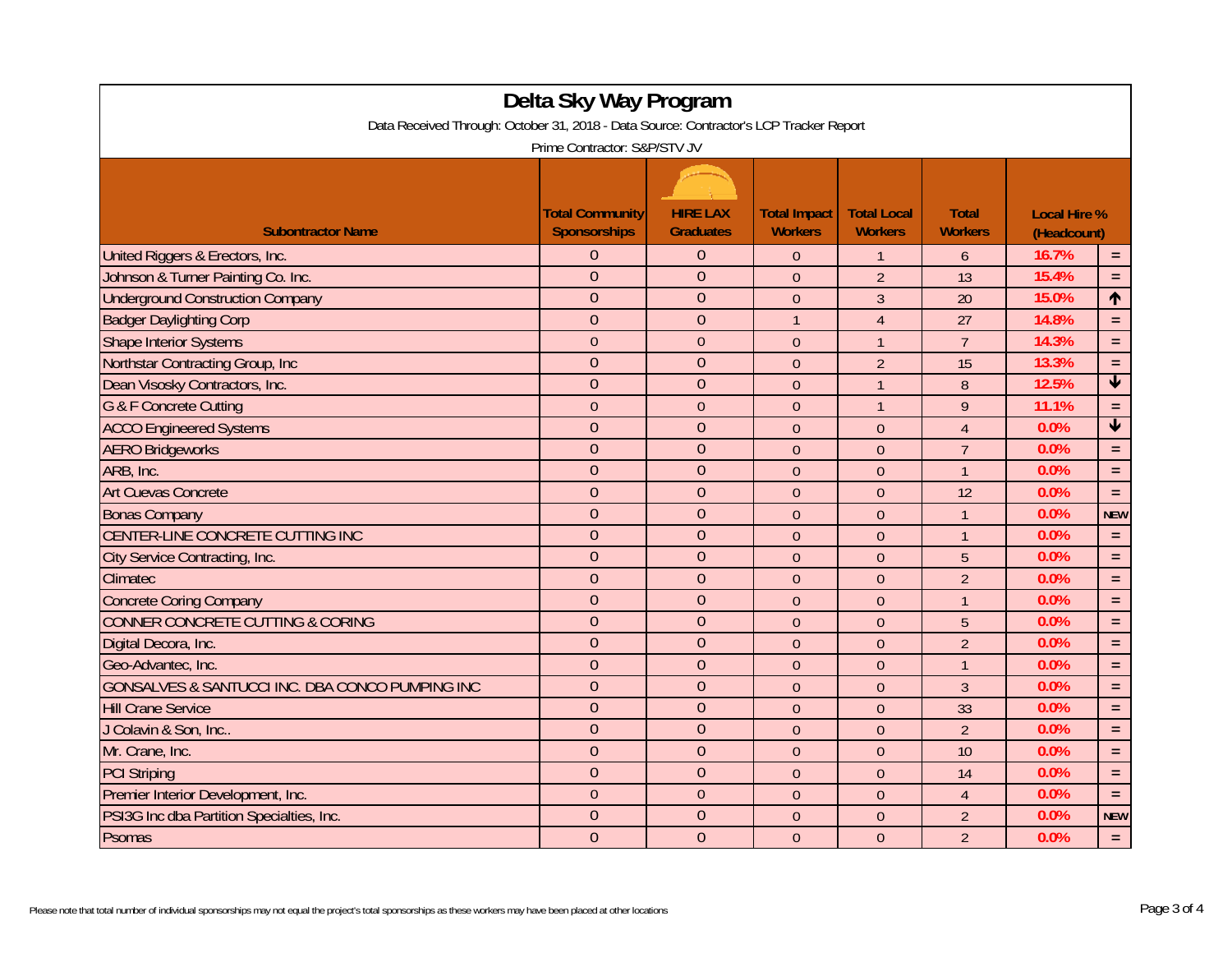| Delta Sky Way Program                                                                  |                                               |                                     |                                       |                                      |                                |                                    |                         |  |
|----------------------------------------------------------------------------------------|-----------------------------------------------|-------------------------------------|---------------------------------------|--------------------------------------|--------------------------------|------------------------------------|-------------------------|--|
| Data Received Through: October 31, 2018 - Data Source: Contractor's LCP Tracker Report |                                               |                                     |                                       |                                      |                                |                                    |                         |  |
| Prime Contractor: S&P/STV JV                                                           |                                               |                                     |                                       |                                      |                                |                                    |                         |  |
|                                                                                        |                                               |                                     |                                       |                                      |                                |                                    |                         |  |
| <b>Subontractor Name</b>                                                               | <b>Total Community</b><br><b>Sponsorships</b> | <b>HIRE LAX</b><br><b>Graduates</b> | <b>Total Impact</b><br><b>Workers</b> | <b>Total Local</b><br><b>Workers</b> | <b>Total</b><br><b>Workers</b> | <b>Local Hire %</b><br>(Headcount) |                         |  |
| United Riggers & Erectors, Inc.                                                        | $\overline{0}$                                | $\theta$                            | $\Omega$                              | $\mathbf{1}$                         | $\overline{6}$                 | 16.7%                              | $=$                     |  |
| Johnson & Turner Painting Co. Inc.                                                     | $\overline{0}$                                | $\overline{0}$                      | $\mathbf{0}$                          | $\overline{2}$                       | 13                             | 15.4%                              | $\equiv$                |  |
| <b>Underground Construction Company</b>                                                | $\mathbf{0}$                                  | $\mathbf{0}$                        | $\mathbf{0}$                          | $\mathfrak{Z}$                       | 20                             | 15.0%                              | $\uparrow$              |  |
| <b>Badger Daylighting Corp</b>                                                         | $\overline{0}$                                | $\mathbf{0}$                        | $\mathbf{1}$                          | $\overline{4}$                       | 27                             | 14.8%                              | $\equiv$                |  |
| <b>Shape Interior Systems</b>                                                          | $\overline{0}$                                | $\mathbf{0}$                        | $\overline{0}$                        | $\mathbf{1}$                         | $\overline{7}$                 | 14.3%                              | $\equiv$                |  |
| Northstar Contracting Group, Inc.                                                      | $\theta$                                      | $\overline{0}$                      | $\mathbf{0}$                          | $\overline{2}$                       | 15                             | 13.3%                              | $\equiv$                |  |
| Dean Visosky Contractors, Inc.                                                         | $\overline{0}$                                | $\overline{0}$                      | $\overline{0}$                        | $\mathbf{1}$                         | $\boldsymbol{8}$               | 12.5%                              | $\overline{\textbf{r}}$ |  |
| <b>G &amp; F Concrete Cutting</b>                                                      | $\mathbf{0}$                                  | $\overline{0}$                      | $\mathbf{0}$                          | $\overline{1}$                       | 9                              | 11.1%                              | $\equiv$                |  |
| <b>ACCO</b> Engineered Systems                                                         | $\overline{0}$                                | $\overline{0}$                      | $\overline{0}$                        | $\overline{0}$                       | $\overline{4}$                 | 0.0%                               | $\overline{\textbf{v}}$ |  |
| <b>AERO Bridgeworks</b>                                                                | $\Omega$                                      | $\overline{0}$                      | $\boldsymbol{0}$                      | $\Omega$                             | $\overline{7}$                 | 0.0%                               | $\equiv$                |  |
| ARB, Inc.                                                                              | $\overline{0}$                                | $\overline{0}$                      | $\overline{0}$                        | $\mathbf{0}$                         | $\mathbf{1}$                   | 0.0%                               | $\equiv$                |  |
| <b>Art Cuevas Concrete</b>                                                             | $\overline{0}$                                | $\overline{0}$                      | $\boldsymbol{0}$                      | $\theta$                             | 12                             | 0.0%                               | $\equiv$                |  |
| <b>Bonas Company</b>                                                                   | $\overline{0}$                                | $\mathbf{0}$                        | $\overline{0}$                        | $\mathbf{0}$                         | $\overline{1}$                 | 0.0%                               | <b>NEW</b>              |  |
| CENTER-LINE CONCRETE CUTTING INC                                                       | $\overline{0}$                                | $\overline{0}$                      | $\boldsymbol{0}$                      | $\boldsymbol{0}$                     | $\overline{1}$                 | 0.0%                               | $\equiv$                |  |
| City Service Contracting, Inc.                                                         | $\mathbf{0}$                                  | $\mathbf{0}$                        | $\mathbf{0}$                          | $\theta$                             | $\overline{5}$                 | 0.0%                               | $=$ $\,$                |  |
| Climatec                                                                               | $\overline{0}$                                | $\overline{0}$                      | $\overline{0}$                        | $\mathbf{0}$                         | $\overline{2}$                 | 0.0%                               | $\equiv$                |  |
| <b>Concrete Coring Company</b>                                                         | $\overline{0}$                                | $\overline{0}$                      | $\mathbf{0}$                          | $\theta$                             | $\overline{1}$                 | 0.0%                               | $\equiv$                |  |
| <b>CONNER CONCRETE CUTTING &amp; CORING</b>                                            | $\overline{0}$                                | $\overline{0}$                      | $\overline{0}$                        | $\overline{0}$                       | 5                              | 0.0%                               | $\equiv$                |  |
| Digital Decora, Inc.                                                                   | $\Omega$                                      | $\overline{0}$                      | $\mathbf{0}$                          | $\theta$                             | $\overline{2}$                 | 0.0%                               | $\equiv$                |  |
| Geo-Advantec, Inc.                                                                     | $\overline{0}$                                | $\overline{0}$                      | $\mathbf{0}$                          | $\theta$                             | $\mathbf{1}$                   | 0.0%                               | $\equiv$                |  |
| GONSALVES & SANTUCCI INC. DBA CONCO PUMPING INC                                        | $\overline{0}$                                | $\overline{0}$                      | $\overline{0}$                        | $\theta$                             | $\overline{3}$                 | 0.0%                               | $\equiv$                |  |
| <b>Hill Crane Service</b>                                                              | $\overline{0}$                                | $\overline{0}$                      | $\mathbf{0}$                          | $\theta$                             | 33                             | 0.0%                               | $\equiv$                |  |
| J Colavin & Son, Inc                                                                   | $\Omega$                                      | $\overline{0}$                      | $\boldsymbol{0}$                      | $\overline{0}$                       | $\overline{2}$                 | 0.0%                               | $\equiv$                |  |
| Mr. Crane, Inc.                                                                        | $\overline{0}$                                | $\mathbf{0}$                        | $\mathbf{0}$                          | $\theta$                             | 10                             | 0.0%                               | $\equiv$                |  |
| <b>PCI Striping</b>                                                                    | $\theta$                                      | $\overline{0}$                      | $\mathbf{0}$                          | $\theta$                             | 14                             | 0.0%                               | $\equiv$                |  |
| Premier Interior Development, Inc.                                                     | $\overline{0}$                                | $\overline{0}$                      | $\overline{0}$                        | $\overline{0}$                       | $\overline{4}$                 | 0.0%                               | $\equiv$                |  |
| PSI3G Inc dba Partition Specialties, Inc.                                              | $\overline{0}$                                | $\overline{0}$                      | $\overline{0}$                        | $\theta$                             | $\overline{2}$                 | 0.0%                               | <b>NEW</b>              |  |
| Psomas                                                                                 | $\overline{0}$                                | $\overline{0}$                      | $\mathbf{0}$                          | $\mathbf{0}$                         | $\overline{2}$                 | 0.0%                               | $\equiv$                |  |